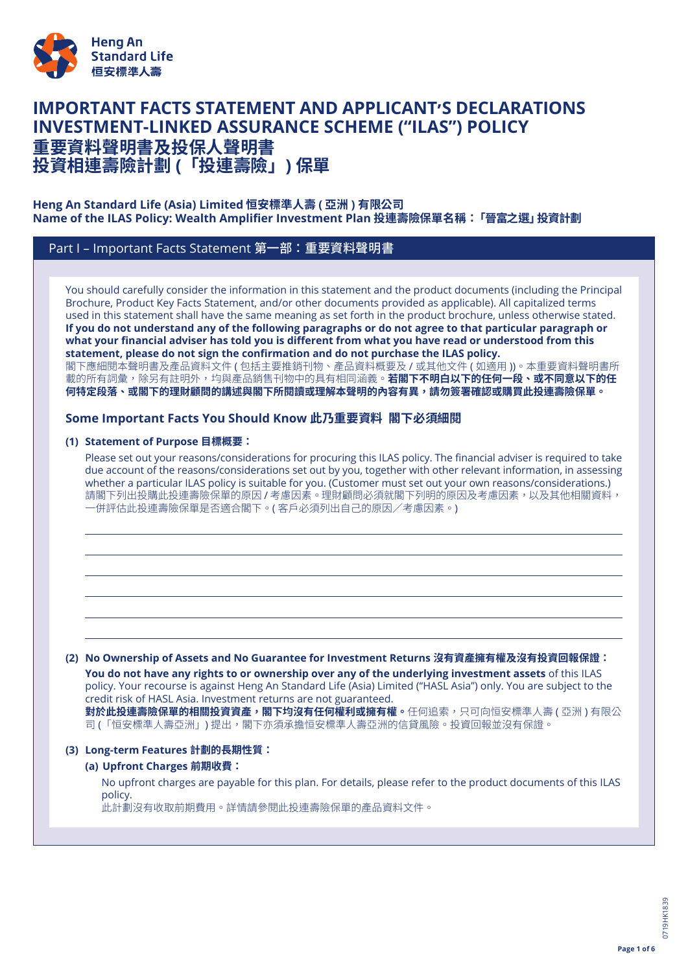

# **IMPORTANT FACTS STATEMENT AND APPLICANT'S DECLARATIONS INVESTMENT-LINKED ASSURANCE SCHEME ("ILAS") POLICY 重要資料聲明書及投保人聲明書**

**投資相連壽險計劃 (「投連壽險」) 保單**

### **Heng An Standard Life (Asia) Limited 恒安標準人壽 ( 亞洲 ) 有限公司 Name of the ILAS Policy: Wealth Amplifier Investment Plan 投連壽險保單名稱:「晉富之選」投資計劃**

# Part I – Important Facts Statement 第一部:重要資料聲明書

You should carefully consider the information in this statement and the product documents (including the Principal Brochure, Product Key Facts Statement, and/or other documents provided as applicable). All capitalized terms used in this statement shall have the same meaning as set forth in the product brochure, unless otherwise stated. If you do not understand any of the following paragraphs or do not agree to that particular paragraph or what your financial adviser has told you is different from what you have read or understood from this **statement, please do not sign the confirmation and do not purchase the ILAS policy.** 閣下應細閱本聲明書及產品資料文件 ( 包括主要推銷刊物、產品資料概要及 / 或其他文件 ( 如適用 ))。本重要資料聲明書所 載的所有詞彙,除另有註明外,均與產品銷售刊物中的具有相同涵義。**若閣下不明白以下的任何一段、或不同意以下的任 何特定段落、或閣下的理財顧問的講述與閣下所閱讀或理解本聲明的內容有異,請勿簽署確認或購買此投連壽險保單。**

# **Some Important Facts You Should Know 此乃重要資料 閣下必須細閱**

### **(1) Statement of Purpose 目標概要:**

Please set out your reasons/considerations for procuring this ILAS policy. The financial adviser is required to take due account of the reasons/considerations set out by you, together with other relevant information, in assessing whether a particular ILAS policy is suitable for you. (Customer must set out your own reasons/considerations.) 請閣下列出投購此投連壽險保單的原因 / 考慮因素。理財顧問必須就閣下列明的原因及考慮因素,以及其他相關資料, 一併評估此投連壽險保單是否適合閣下。( 客戶必須列出自己的原因/考慮因素。)

#### **(2) No Ownership of Assets and No Guarantee for Investment Returns 沒有資產擁有權及沒有投資回報保證:**

**You do not have any rights to or ownership over any of the underlying investment assets** of this ILAS policy. Your recourse is against Heng An Standard Life (Asia) Limited ("HASL Asia") only. You are subject to the credit risk of HASL Asia. Investment returns are not guaranteed. **對於此投連壽險保單的相關投資資產,閣下均沒有任何權利或擁有權。**任何追索,只可向恒安標準人壽 ( 亞洲 ) 有限公 司 (「恒安標準人壽亞洲」) 提出,閣下亦須承擔恒安標準人壽亞洲的信貸風險。投資回報並沒有保證。

### **(3) Long-term Features 計劃的長期性質:**

### **(a) Upfront Charges 前期收費:**

No upfront charges are payable for this plan. For details, please refer to the product documents of this ILAS policy.

此計劃沒有收取前期費用。詳情請參閱此投連壽險保單的產品資料文件。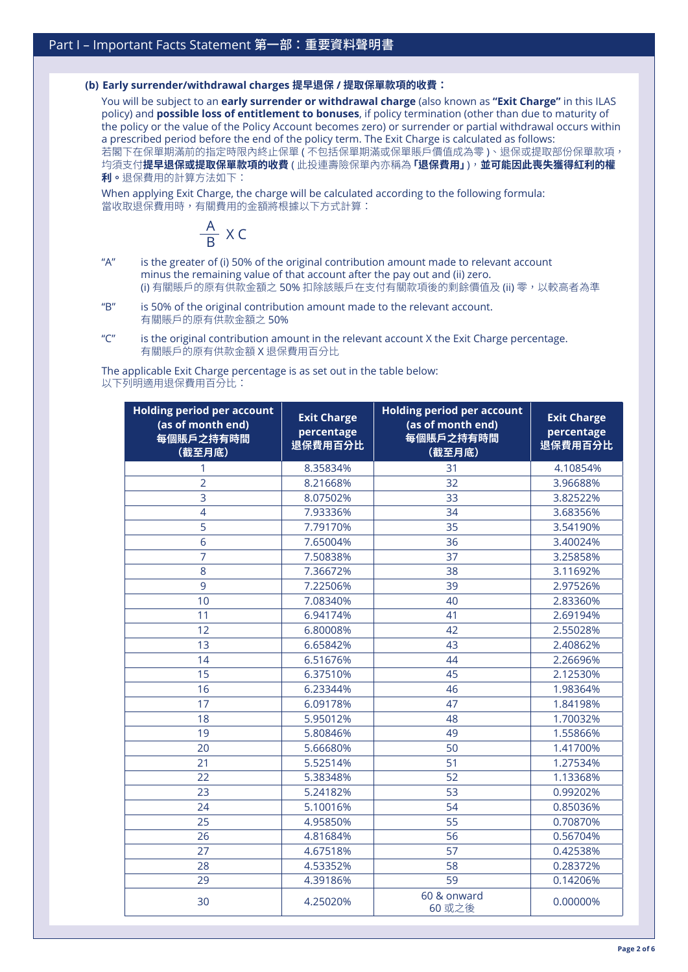#### **(b) Early surrender/withdrawal charges 提早退保 / 提取保單款項的收費:**

You will be subject to an **early surrender or withdrawal charge** (also known as **"Exit Charge"** in this ILAS policy) and **possible loss of entitlement to bonuses**, if policy termination (other than due to maturity of the policy or the value of the Policy Account becomes zero) or surrender or partial withdrawal occurs within a prescribed period before the end of the policy term. The Exit Charge is calculated as follows: 若閣下在保單期滿前的指定時限內終止保單 ( 不包括保單期滿或保單賬戶價值成為零 )、退保或提取部份保單款項, 均須支付**提早退保或提取保單款項的收費** ( 此投連壽險保單內亦稱為**「退保費用」**),**並可能因此喪失獲得紅利的權 利。**退保費用的計算方法如下:

When applying Exit Charge, the charge will be calculated according to the following formula: 當收取退保費用時,有關費用的金額將根據以下方式計算:



- "A" is the greater of (i) 50% of the original contribution amount made to relevant account minus the remaining value of that account after the pay out and (ii) zero. (i) 有關賬戶的原有供款金額之 50% 扣除該賬戶在支付有關款項後的剩餘價值及 (ii) 零,以較高者為準
- "B" is 50% of the original contribution amount made to the relevant account. 有關賬戶的原有供款金額之 50%
- " $C$ " is the original contribution amount in the relevant account X the Exit Charge percentage. 有關賬戶的原有供款金額 X 退保費用百分比

The applicable Exit Charge percentage is as set out in the table below: 以下列明適用退保費用百分比:

| <b>Holding period per account</b><br>(as of month end)<br>每個賬戶之持有時間<br>(截至月底) | <b>Exit Charge</b><br>percentage<br>退保費用百分比 | <b>Holding period per account</b><br>(as of month end)<br>每個賬戶之持有時間<br>(截至月底) | <b>Exit Charge</b><br>percentage<br>退保費用百分比 |
|-------------------------------------------------------------------------------|---------------------------------------------|-------------------------------------------------------------------------------|---------------------------------------------|
| 1                                                                             | 8.35834%                                    | 31                                                                            | 4.10854%                                    |
| $\overline{2}$                                                                | 8.21668%                                    | 32                                                                            | 3.96688%                                    |
| $\overline{3}$                                                                | 8.07502%                                    | 33                                                                            | 3.82522%                                    |
| $\overline{4}$                                                                | 7.93336%                                    | 34                                                                            | 3.68356%                                    |
| $\overline{5}$                                                                | 7.79170%                                    | 35                                                                            | 3.54190%                                    |
| 6                                                                             | 7.65004%                                    | 36                                                                            | 3.40024%                                    |
| $\overline{7}$                                                                | 7.50838%                                    | 37                                                                            | 3.25858%                                    |
| 8                                                                             | 7.36672%                                    | 38                                                                            | 3.11692%                                    |
| 9                                                                             | 7.22506%                                    | 39                                                                            | 2.97526%                                    |
| 10                                                                            | 7.08340%                                    | 40                                                                            | 2.83360%                                    |
| 11                                                                            | 6.94174%                                    | 41                                                                            | 2.69194%                                    |
| 12                                                                            | 6.80008%                                    | 42                                                                            | 2.55028%                                    |
| 13                                                                            | 6.65842%                                    | 43                                                                            | 2.40862%                                    |
| 14                                                                            | 6.51676%                                    | 44                                                                            | 2.26696%                                    |
| 15                                                                            | 6.37510%                                    | 45                                                                            | 2.12530%                                    |
| 16                                                                            | 6.23344%                                    | 46                                                                            | 1.98364%                                    |
| 17                                                                            | 6.09178%                                    | 47                                                                            | 1.84198%                                    |
| 18                                                                            | 5.95012%                                    | 48                                                                            | 1.70032%                                    |
| 19                                                                            | 5.80846%                                    | 49                                                                            | 1.55866%                                    |
| 20                                                                            | 5.66680%                                    | 50                                                                            | 1.41700%                                    |
| 21                                                                            | 5.52514%                                    | 51                                                                            | 1.27534%                                    |
| 22                                                                            | 5.38348%                                    | 52                                                                            | 1.13368%                                    |
| 23                                                                            | 5.24182%                                    | 53                                                                            | 0.99202%                                    |
| 24                                                                            | 5.10016%                                    | 54                                                                            | 0.85036%                                    |
| 25                                                                            | 4.95850%                                    | 55                                                                            | 0.70870%                                    |
| 26                                                                            | 4.81684%                                    | 56                                                                            | 0.56704%                                    |
| 27                                                                            | 4.67518%                                    | 57                                                                            | 0.42538%                                    |
| 28                                                                            | 4.53352%                                    | 58                                                                            | 0.28372%                                    |
| 29                                                                            | 4.39186%                                    | 59                                                                            | 0.14206%                                    |
| 30                                                                            | 4.25020%                                    | 60 & onward<br>60 或之後                                                         | 0.00000%                                    |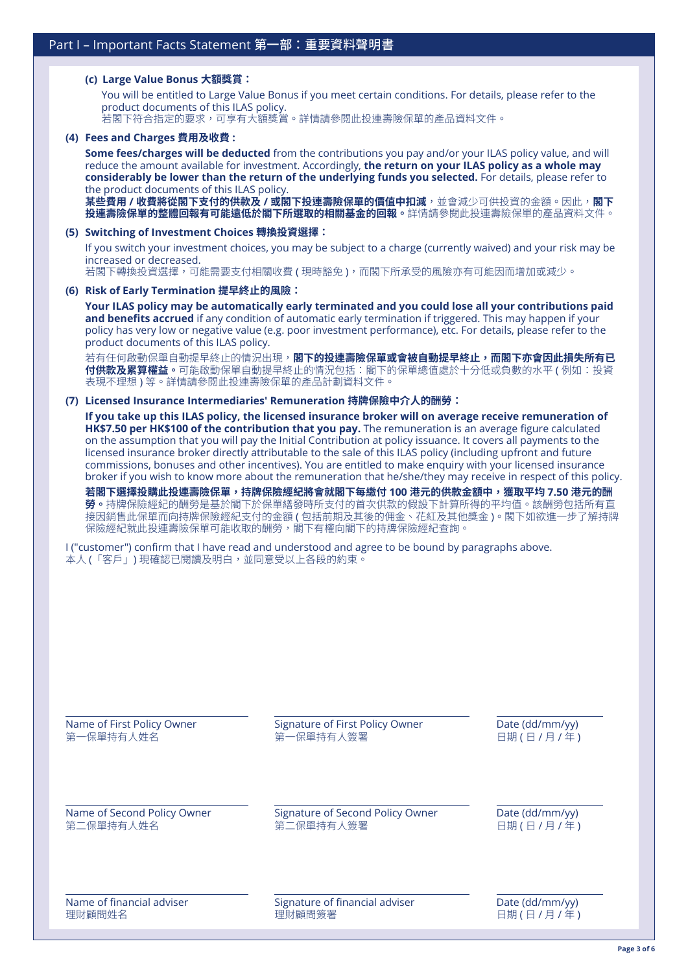#### **(c) Large Value Bonus 大額獎賞:**

You will be entitled to Large Value Bonus if you meet certain conditions. For details, please refer to the product documents of this ILAS policy. 若閣下符合指定的要求,可享有大額獎賞。詳情請參閱此投連壽險保單的產品資料文件。

#### **(4) Fees and Charges 費用及收費 :**

**Some fees/charges will be deducted** from the contributions you pay and/or your ILAS policy value, and will reduce the amount available for investment. Accordingly, **the return on your ILAS policy as a whole may considerably be lower than the return of the underlying funds you selected.** For details, please refer to the product documents of this ILAS policy.

**某些費用 / 收費將從閣下支付的供款及 / 或閣下投連壽險保單的價值中扣減**,並會減少可供投資的金額。因此,**閣下 投連壽險保單的整體回報有可能遠低於閣下所選取的相關基金的回報。**詳情請參閱此投連壽險保單的產品資料文件。

#### **(5) Switching of Investment Choices 轉換投資選擇:**

If you switch your investment choices, you may be subject to a charge (currently waived) and your risk may be increased or decreased.

若閣下轉換投資選擇,可能需要支付相關收費 ( 現時豁免 ),而閣下所承受的風險亦有可能因而增加或減少。

#### **(6) Risk of Early Termination 提早終止的風險:**

**Your ILAS policy may be automatically early terminated and you could lose all your contributions paid and benefits accrued** if any condition of automatic early termination if triggered. This may happen if your policy has very low or negative value (e.g. poor investment performance), etc. For details, please refer to the product documents of this ILAS policy.

若有任何啟動保單自動提早終止的情況出現,**閣下的投連壽險保單或會被自動提早終止,而閣下亦會因此損失所有已 付供款及累算權益。**可能啟動保單自動提早終止的情況包括:閣下的保單總值處於十分低或負數的水平 ( 例如:投資 表現不理想 ) 等。詳情請參閱此投連壽險保單的產品計劃資料文件。

#### **(7) Licensed Insurance Intermediaries' Remuneration 持牌保險中介人的酬勞:**

**If you take up this ILAS policy, the licensed insurance broker will on average receive remuneration of HK\$7.50 per HK\$100 of the contribution that you pay.** The remuneration is an average figure calculated on the assumption that you will pay the Initial Contribution at policy issuance. It covers all payments to the licensed insurance broker directly attributable to the sale of this ILAS policy (including upfront and future commissions, bonuses and other incentives). You are entitled to make enquiry with your licensed insurance broker if you wish to know more about the remuneration that he/she/they may receive in respect of this policy.

**若閣下選擇投購此投連壽險保單,持牌保險經紀將會就閣下每繳付 100 港元的供款金額中,獲取平均 7.50 港元的酬 勞。**持牌保險經紀的酬勞是基於閣下於保單繕發時所支付的首次供款的假設下計算所得的平均值。該酬勞包括所有直 接因銷售此保單而向持牌保險經紀支付的金額 ( 包括前期及其後的佣金、花紅及其他獎金 )。閣下如欲進一步了解持牌 保險經紀就此投連壽險保單可能收取的酬勞,閣下有權向閣下的持牌保險經紀查詢。

I ("customer") confirm that I have read and understood and agree to be bound by paragraphs above. 本人 (「客戶」) 現確認已閱讀及明白,並同意受以上各段的約束。

| Name of First Policy Owner  | Signature of First Policy Owner  | Date (dd/mm/yy) |
|-----------------------------|----------------------------------|-----------------|
| 第一保單持有人姓名                   | 第一保單持有人簽署                        | 日期(日/月/年)       |
| Name of Second Policy Owner | Signature of Second Policy Owner | Date (dd/mm/yy) |
| 第二保單持有人姓名                   | 第二保單持有人簽署                        | 日期(日/月/年)       |
| Name of financial adviser   | Signature of financial adviser   | Date (dd/mm/yy) |
| 理財顧問姓名                      | 理財顧問簽署                           | 日期(日/月/年)       |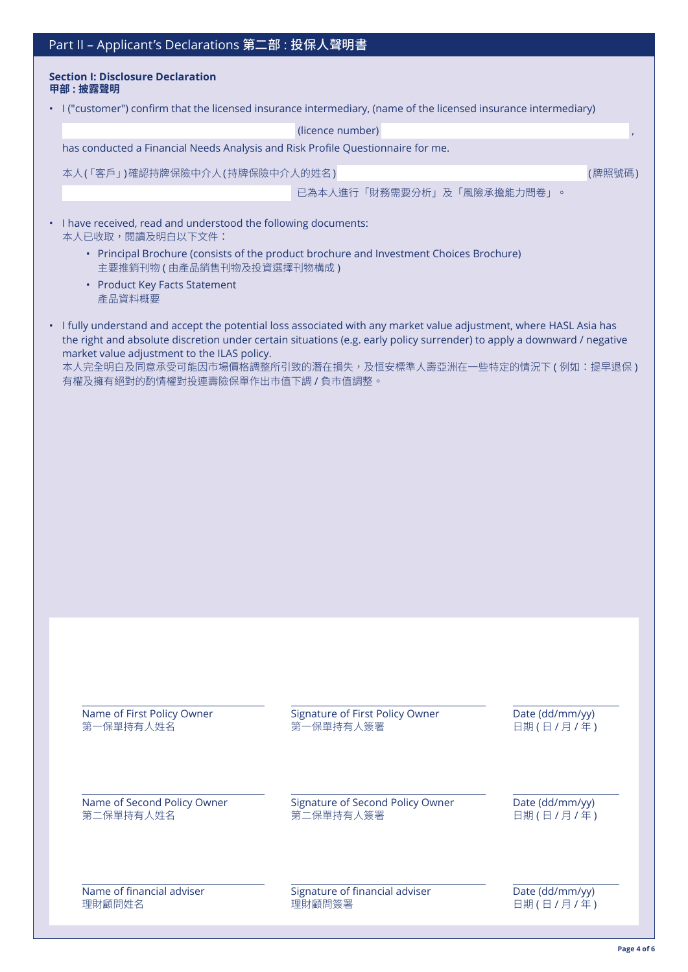| Part II - Applicant's Declarations 第二部: 投保人聲明書                                                                                                                                                                                                                                                                                                                                                    |                                               |                              |
|---------------------------------------------------------------------------------------------------------------------------------------------------------------------------------------------------------------------------------------------------------------------------------------------------------------------------------------------------------------------------------------------------|-----------------------------------------------|------------------------------|
| <b>Section I: Disclosure Declaration</b><br>甲部:披露聲明                                                                                                                                                                                                                                                                                                                                               |                                               |                              |
| • I ("customer") confirm that the licensed insurance intermediary, (name of the licensed insurance intermediary)                                                                                                                                                                                                                                                                                  |                                               |                              |
|                                                                                                                                                                                                                                                                                                                                                                                                   | (licence number)                              | $\mathbf{r}$                 |
| has conducted a Financial Needs Analysis and Risk Profile Questionnaire for me.                                                                                                                                                                                                                                                                                                                   |                                               |                              |
| 本人(「客戶」)確認持牌保險中介人(持牌保險中介人的姓名)                                                                                                                                                                                                                                                                                                                                                                     |                                               | (牌照號碼)                       |
|                                                                                                                                                                                                                                                                                                                                                                                                   | 已為本人進行「財務需要分析」及「風險承擔能力問卷」。                    |                              |
| I have received, read and understood the following documents:<br>本人已收取,閱讀及明白以下文件:                                                                                                                                                                                                                                                                                                                 |                                               |                              |
| · Principal Brochure (consists of the product brochure and Investment Choices Brochure)<br>主要推銷刊物 (由產品銷售刊物及投資選擇刊物構成)<br>• Product Key Facts Statement<br>產品資料概要                                                                                                                                                                                                                                   |                                               |                              |
| · I fully understand and accept the potential loss associated with any market value adjustment, where HASL Asia has<br>the right and absolute discretion under certain situations (e.g. early policy surrender) to apply a downward / negative<br>market value adjustment to the ILAS policy.<br>本人完全明白及同意承受可能因市場價格調整所引致的潛在損失,及恒安標準人壽亞洲在一些特定的情況下 ( 例如:提早退保 )<br>有權及擁有絕對的酌情權對投連壽險保單作出市值下調 / 負市值調整。 |                                               |                              |
|                                                                                                                                                                                                                                                                                                                                                                                                   |                                               |                              |
| Name of First Policy Owner<br>第一保單持有人姓名                                                                                                                                                                                                                                                                                                                                                           | Signature of First Policy Owner<br>第一保單持有人簽署  | Date (dd/mm/yy)<br>日期(日/月/年) |
| Name of Second Policy Owner<br>第二保單持有人姓名                                                                                                                                                                                                                                                                                                                                                          | Signature of Second Policy Owner<br>第二保單持有人簽署 | Date (dd/mm/yy)<br>日期(日/月/年) |

Name of financial adviser **Signature of financial adviser** Date (dd/mm/yy) 理財顧問姓名 フランス エンジェンス 理財顧問簽署 こうしょう エンジェンス エンストリック ロバイン 日期 ( 日 / 月 / 年 )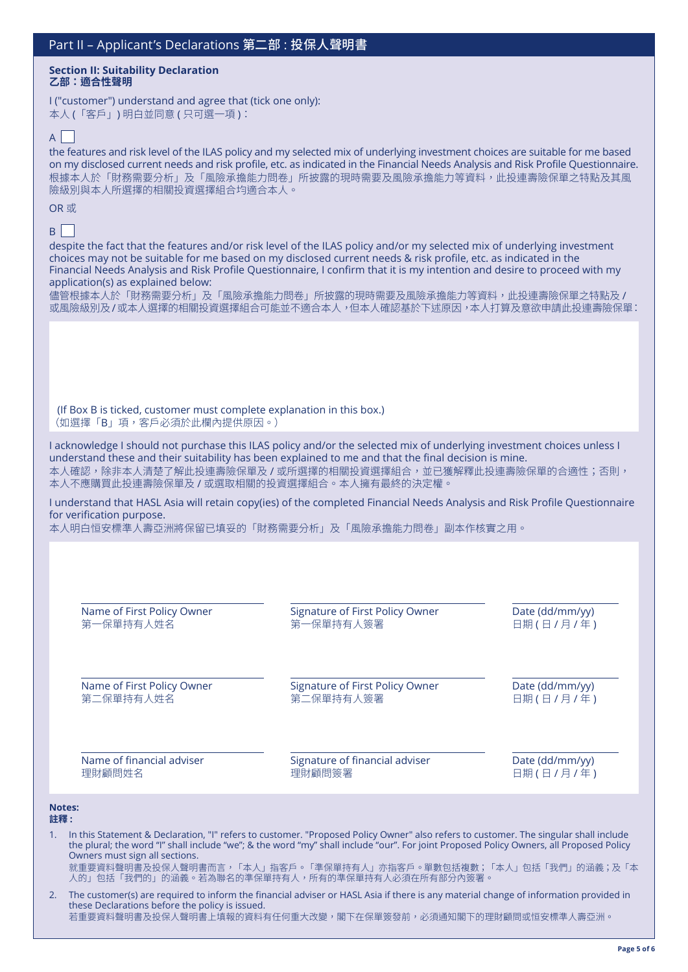#### **Section II: Suitability Declaration 乙部:適合性聲明**

I ("customer") understand and agree that (tick one only): 本人 (「客戶」) 明白並同意 ( 只可選一項 ):

# $\mathsf{A}$

the features and risk level of the ILAS policy and my selected mix of underlying investment choices are suitable for me based on my disclosed current needs and risk profile, etc. as indicated in the Financial Needs Analysis and Risk Profile Questionnaire. 根據本人於「財務需要分析」及「風險承擔能力問卷」所披露的現時需要及風險承擔能力等資料,此投連壽險保單之特點及其風 險級別與本人所選擇的相關投資選擇組合均適合本人。

### OR 或

## $B$

despite the fact that the features and/or risk level of the ILAS policy and/or my selected mix of underlying investment choices may not be suitable for me based on my disclosed current needs & risk profile, etc. as indicated in the Financial Needs Analysis and Risk Profile Questionnaire, I confirm that it is my intention and desire to proceed with my application(s) as explained below:

|  |  | 儘管根據本人於「財務需要分析」及「風險承擔能力問卷」所披露的現時需要及風險承擔能力等資料,此投連壽險保單之特點及/   |
|--|--|-------------------------------------------------------------|
|  |  | 或風險級別及/或本人選擇的相關投資選擇組合可能並不適合本人,但本人確認基於下述原因,本人打算及意欲申請此投連壽險保單: |

(If Box B is ticked, customer must complete explanation in this box.) (如選擇「B」項,客戶必須於此欄內提供原因。)

I acknowledge I should not purchase this ILAS policy and/or the selected mix of underlying investment choices unless I understand these and their suitability has been explained to me and that the final decision is mine. 本人確認,除非本人清楚了解此投連壽險保單及 / 或所選擇的相關投資選擇組合,並已獲解釋此投連壽險保單的合適性;否則, 本人不應購買此投連壽險保單及 / 或選取相關的投資選擇組合。本人擁有最終的決定權。

I understand that HASL Asia will retain copy(ies) of the completed Financial Needs Analysis and Risk Profile Questionnaire for verification purpose.

本人明白恒安標準人壽亞洲將保留已填妥的「財務需要分析」及「風險承擔能力問卷」副本作核實之用。

| Name of First Policy Owner | <b>Signature of First Policy Owner</b> | Date (dd/mm/yy) |
|----------------------------|----------------------------------------|-----------------|
| 第一保單持有人姓名                  | 第一保單持有人簽署                              | 日期(日/月/年)       |
| Name of First Policy Owner | <b>Signature of First Policy Owner</b> | Date (dd/mm/yy) |
| 第二保單持有人姓名                  | 第二保單持有人簽署                              | 日期(日/月/年)       |
| Name of financial adviser  | Signature of financial adviser         | Date (dd/mm/yy) |
| 理財顧問姓名                     | 理財顧問簽署                                 | 日期(日/月/年)       |
| <b>Notes:</b>              |                                        |                 |

1. In this Statement & Declaration, "I" refers to customer. "Proposed Policy Owner" also refers to customer. The singular shall include the plural; the word "I" shall include "we"; & the word "my" shall include "our". For joint Proposed Policy Owners, all Proposed Policy Owners must sign all sections. 就重要資料聲明書及投保人聲明書而言,「本人」指客戶。「準保單持有人」亦指客戶。單數包括複數;「本人」包括「我們」的涵義;及「本

人的」包括「我們的」的涵義。若為聯名的準保單持有人,所有的準保單持有人必須在所有部分內簽署。

2. The customer(s) are required to inform the financial adviser or HASL Asia if there is any material change of information provided in these Declarations before the policy is issued. 若重要資料聲明書及投保人聲明書上填報的資料有任何重大改變,閣下在保單簽發前,必須通知閣下的理財顧問或恒安標準人壽亞洲。